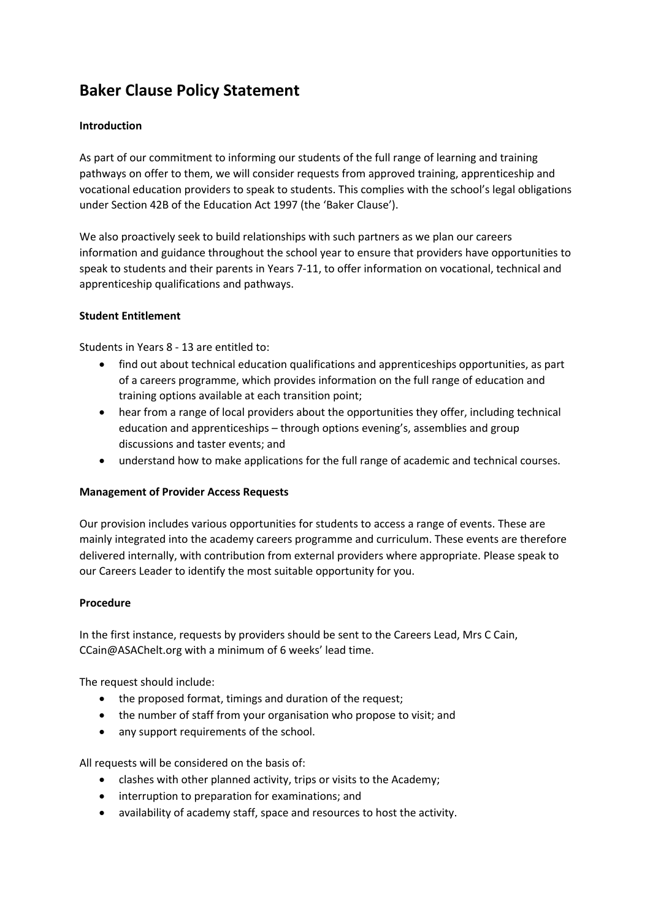# **Baker Clause Policy Statement**

## **Introduction**

As part of our commitment to informing our students of the full range of learning and training pathways on offer to them, we will consider requests from approved training, apprenticeship and vocational education providers to speak to students. This complies with the school's legal obligations under Section 42B of the Education Act 1997 (the 'Baker Clause').

We also proactively seek to build relationships with such partners as we plan our careers information and guidance throughout the school year to ensure that providers have opportunities to speak to students and their parents in Years 7-11, to offer information on vocational, technical and apprenticeship qualifications and pathways.

## **Student Entitlement**

Students in Years 8 - 13 are entitled to:

- find out about technical education qualifications and apprenticeships opportunities, as part of a careers programme, which provides information on the full range of education and training options available at each transition point;
- hear from a range of local providers about the opportunities they offer, including technical education and apprenticeships – through options evening's, assemblies and group discussions and taster events; and
- understand how to make applications for the full range of academic and technical courses.

#### **Management of Provider Access Requests**

Our provision includes various opportunities for students to access a range of events. These are mainly integrated into the academy careers programme and curriculum. These events are therefore delivered internally, with contribution from external providers where appropriate. Please speak to our Careers Leader to identify the most suitable opportunity for you.

#### **Procedure**

In the first instance, requests by providers should be sent to the Careers Lead, Mrs C Cain, CCain@ASAChelt.org with a minimum of 6 weeks' lead time.

The request should include:

- the proposed format, timings and duration of the request;
- the number of staff from your organisation who propose to visit; and
- any support requirements of the school.

All requests will be considered on the basis of:

- clashes with other planned activity, trips or visits to the Academy;
- interruption to preparation for examinations; and
- availability of academy staff, space and resources to host the activity.